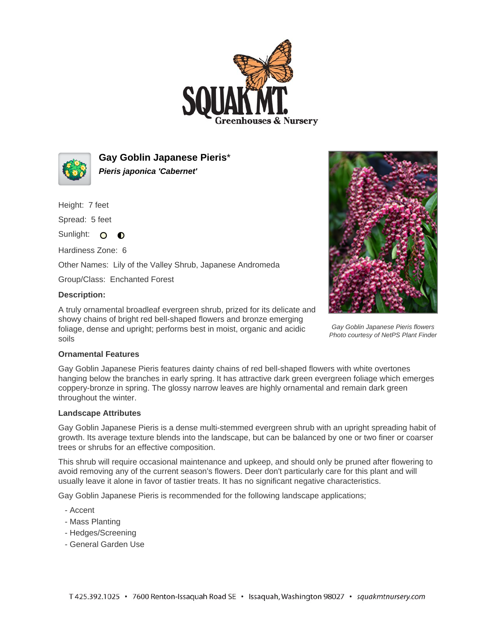



**Gay Goblin Japanese Pieris**\* **Pieris japonica 'Cabernet'**

Height: 7 feet

Spread: 5 feet

Sunlight: O O

Hardiness Zone: 6

Other Names: Lily of the Valley Shrub, Japanese Andromeda

Group/Class: Enchanted Forest

## **Description:**

A truly ornamental broadleaf evergreen shrub, prized for its delicate and showy chains of bright red bell-shaped flowers and bronze emerging foliage, dense and upright; performs best in moist, organic and acidic soils



Gay Goblin Japanese Pieris flowers Photo courtesy of NetPS Plant Finder

## **Ornamental Features**

Gay Goblin Japanese Pieris features dainty chains of red bell-shaped flowers with white overtones hanging below the branches in early spring. It has attractive dark green evergreen foliage which emerges coppery-bronze in spring. The glossy narrow leaves are highly ornamental and remain dark green throughout the winter.

## **Landscape Attributes**

Gay Goblin Japanese Pieris is a dense multi-stemmed evergreen shrub with an upright spreading habit of growth. Its average texture blends into the landscape, but can be balanced by one or two finer or coarser trees or shrubs for an effective composition.

This shrub will require occasional maintenance and upkeep, and should only be pruned after flowering to avoid removing any of the current season's flowers. Deer don't particularly care for this plant and will usually leave it alone in favor of tastier treats. It has no significant negative characteristics.

Gay Goblin Japanese Pieris is recommended for the following landscape applications;

- Accent
- Mass Planting
- Hedges/Screening
- General Garden Use